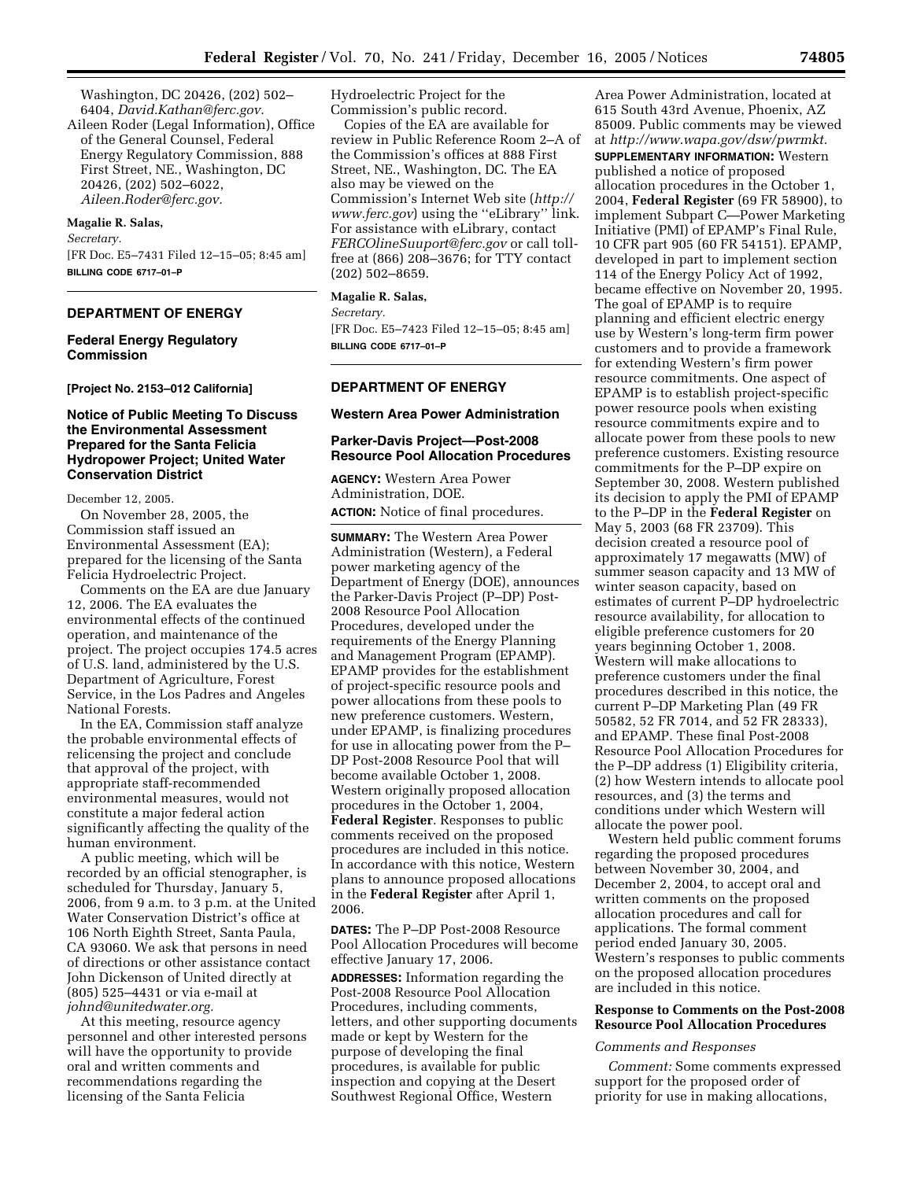Washington, DC 20426, (202) 502– 6404, *David.Kathan@ferc.gov.* 

Aileen Roder (Legal Information), Office of the General Counsel, Federal Energy Regulatory Commission, 888 First Street, NE., Washington, DC 20426, (202) 502–6022, *Aileen.Roder@ferc.gov.* 

### **Magalie R. Salas,**

*Secretary.* 

[FR Doc. E5–7431 Filed 12–15–05; 8:45 am] **BILLING CODE 6717–01–P** 

### **DEPARTMENT OF ENERGY**

## **Federal Energy Regulatory Commission**

**[Project No. 2153–012 California]** 

## **Notice of Public Meeting To Discuss the Environmental Assessment Prepared for the Santa Felicia Hydropower Project; United Water Conservation District**

December 12, 2005.

On November 28, 2005, the Commission staff issued an Environmental Assessment (EA); prepared for the licensing of the Santa Felicia Hydroelectric Project.

Comments on the EA are due January 12, 2006. The EA evaluates the environmental effects of the continued operation, and maintenance of the project. The project occupies 174.5 acres of U.S. land, administered by the U.S. Department of Agriculture, Forest Service, in the Los Padres and Angeles National Forests.

In the EA, Commission staff analyze the probable environmental effects of relicensing the project and conclude that approval of the project, with appropriate staff-recommended environmental measures, would not constitute a major federal action significantly affecting the quality of the human environment.

A public meeting, which will be recorded by an official stenographer, is scheduled for Thursday, January 5, 2006, from 9 a.m. to 3 p.m. at the United Water Conservation District's office at 106 North Eighth Street, Santa Paula, CA 93060. We ask that persons in need of directions or other assistance contact John Dickenson of United directly at (805) 525–4431 or via e-mail at *johnd@unitedwater.org.* 

At this meeting, resource agency personnel and other interested persons will have the opportunity to provide oral and written comments and recommendations regarding the licensing of the Santa Felicia

Hydroelectric Project for the Commission's public record.

Copies of the EA are available for review in Public Reference Room 2–A of the Commission's offices at 888 First Street, NE., Washington, DC. The EA also may be viewed on the Commission's Internet Web site (*http:// www.ferc.gov*) using the ''eLibrary'' link. For assistance with eLibrary, contact *FERCOlineSuuport@ferc.gov* or call tollfree at (866) 208–3676; for TTY contact (202) 502–8659.

## **Magalie R. Salas,**

*Secretary.* 

[FR Doc. E5–7423 Filed 12–15–05; 8:45 am] **BILLING CODE 6717–01–P** 

#### **DEPARTMENT OF ENERGY**

## **Western Area Power Administration**

## **Parker-Davis Project—Post-2008 Resource Pool Allocation Procedures**

**AGENCY:** Western Area Power Administration, DOE. **ACTION:** Notice of final procedures.

**SUMMARY:** The Western Area Power Administration (Western), a Federal power marketing agency of the Department of Energy (DOE), announces the Parker-Davis Project (P–DP) Post-2008 Resource Pool Allocation Procedures, developed under the requirements of the Energy Planning and Management Program (EPAMP). EPAMP provides for the establishment of project-specific resource pools and power allocations from these pools to new preference customers. Western, under EPAMP, is finalizing procedures for use in allocating power from the P– DP Post-2008 Resource Pool that will become available October 1, 2008. Western originally proposed allocation procedures in the October 1, 2004, **Federal Register**. Responses to public comments received on the proposed procedures are included in this notice. In accordance with this notice, Western plans to announce proposed allocations in the **Federal Register** after April 1, 2006.

**DATES:** The P–DP Post-2008 Resource Pool Allocation Procedures will become effective January 17, 2006.

**ADDRESSES:** Information regarding the Post-2008 Resource Pool Allocation Procedures, including comments, letters, and other supporting documents made or kept by Western for the purpose of developing the final procedures, is available for public inspection and copying at the Desert Southwest Regional Office, Western

Area Power Administration, located at 615 South 43rd Avenue, Phoenix, AZ 85009. Public comments may be viewed at *http://www.wapa.gov/dsw/pwrmkt.*  **SUPPLEMENTARY INFORMATION:** Western published a notice of proposed allocation procedures in the October 1, 2004, **Federal Register** (69 FR 58900), to implement Subpart C—Power Marketing Initiative (PMI) of EPAMP's Final Rule, 10 CFR part 905 (60 FR 54151). EPAMP, developed in part to implement section 114 of the Energy Policy Act of 1992, became effective on November 20, 1995. The goal of EPAMP is to require planning and efficient electric energy use by Western's long-term firm power customers and to provide a framework for extending Western's firm power resource commitments. One aspect of EPAMP is to establish project-specific power resource pools when existing resource commitments expire and to allocate power from these pools to new preference customers. Existing resource commitments for the P–DP expire on September 30, 2008. Western published its decision to apply the PMI of EPAMP to the P–DP in the **Federal Register** on May 5, 2003 (68 FR 23709). This decision created a resource pool of approximately 17 megawatts (MW) of summer season capacity and 13 MW of winter season capacity, based on estimates of current P–DP hydroelectric resource availability, for allocation to eligible preference customers for 20 years beginning October 1, 2008. Western will make allocations to preference customers under the final procedures described in this notice, the current P–DP Marketing Plan (49 FR 50582, 52 FR 7014, and 52 FR 28333), and EPAMP. These final Post-2008 Resource Pool Allocation Procedures for the P–DP address (1) Eligibility criteria, (2) how Western intends to allocate pool

resources, and (3) the terms and conditions under which Western will allocate the power pool.

Western held public comment forums regarding the proposed procedures between November 30, 2004, and December 2, 2004, to accept oral and written comments on the proposed allocation procedures and call for applications. The formal comment period ended January 30, 2005. Western's responses to public comments on the proposed allocation procedures are included in this notice.

## **Response to Comments on the Post-2008 Resource Pool Allocation Procedures**

### *Comments and Responses*

*Comment:* Some comments expressed support for the proposed order of priority for use in making allocations,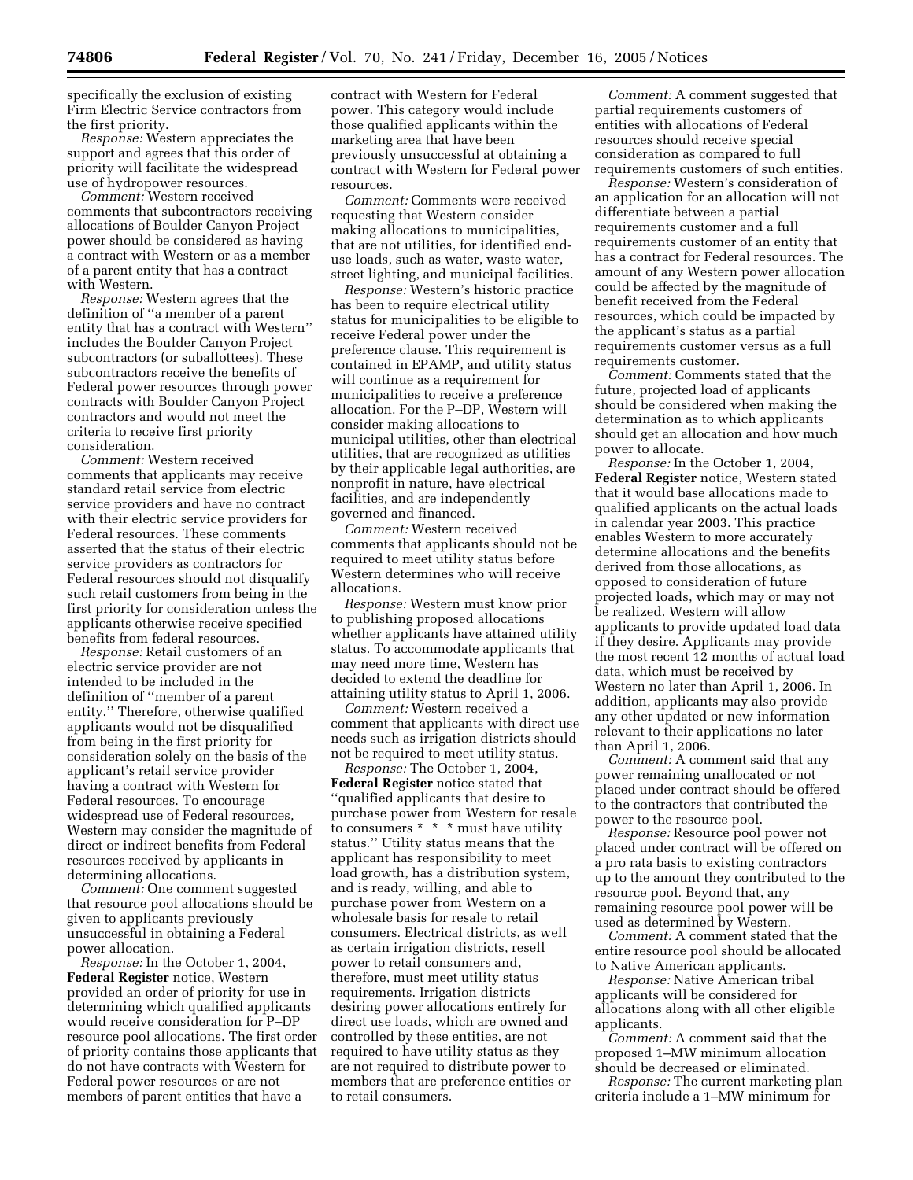specifically the exclusion of existing Firm Electric Service contractors from the first priority.

*Response:* Western appreciates the support and agrees that this order of priority will facilitate the widespread use of hydropower resources.

*Comment:* Western received comments that subcontractors receiving allocations of Boulder Canyon Project power should be considered as having a contract with Western or as a member of a parent entity that has a contract with Western.

*Response:* Western agrees that the definition of ''a member of a parent entity that has a contract with Western'' includes the Boulder Canyon Project subcontractors (or suballottees). These subcontractors receive the benefits of Federal power resources through power contracts with Boulder Canyon Project contractors and would not meet the criteria to receive first priority consideration.

*Comment:* Western received comments that applicants may receive standard retail service from electric service providers and have no contract with their electric service providers for Federal resources. These comments asserted that the status of their electric service providers as contractors for Federal resources should not disqualify such retail customers from being in the first priority for consideration unless the applicants otherwise receive specified benefits from federal resources.

*Response:* Retail customers of an electric service provider are not intended to be included in the definition of ''member of a parent entity.'' Therefore, otherwise qualified applicants would not be disqualified from being in the first priority for consideration solely on the basis of the applicant's retail service provider having a contract with Western for Federal resources. To encourage widespread use of Federal resources, Western may consider the magnitude of direct or indirect benefits from Federal resources received by applicants in determining allocations.

*Comment:* One comment suggested that resource pool allocations should be given to applicants previously unsuccessful in obtaining a Federal power allocation.

*Response:* In the October 1, 2004, **Federal Register** notice, Western provided an order of priority for use in determining which qualified applicants would receive consideration for P–DP resource pool allocations. The first order of priority contains those applicants that do not have contracts with Western for Federal power resources or are not members of parent entities that have a

contract with Western for Federal power. This category would include those qualified applicants within the marketing area that have been previously unsuccessful at obtaining a contract with Western for Federal power resources.

*Comment:* Comments were received requesting that Western consider making allocations to municipalities, that are not utilities, for identified enduse loads, such as water, waste water, street lighting, and municipal facilities.

*Response:* Western's historic practice has been to require electrical utility status for municipalities to be eligible to receive Federal power under the preference clause. This requirement is contained in EPAMP, and utility status will continue as a requirement for municipalities to receive a preference allocation. For the P–DP, Western will consider making allocations to municipal utilities, other than electrical utilities, that are recognized as utilities by their applicable legal authorities, are nonprofit in nature, have electrical facilities, and are independently governed and financed.

*Comment:* Western received comments that applicants should not be required to meet utility status before Western determines who will receive allocations.

*Response:* Western must know prior to publishing proposed allocations whether applicants have attained utility status. To accommodate applicants that may need more time, Western has decided to extend the deadline for attaining utility status to April 1, 2006.

*Comment:* Western received a comment that applicants with direct use needs such as irrigation districts should not be required to meet utility status.

*Response:* The October 1, 2004, **Federal Register** notice stated that ''qualified applicants that desire to purchase power from Western for resale to consumers \* \* \* must have utility status.'' Utility status means that the applicant has responsibility to meet load growth, has a distribution system, and is ready, willing, and able to purchase power from Western on a wholesale basis for resale to retail consumers. Electrical districts, as well as certain irrigation districts, resell power to retail consumers and, therefore, must meet utility status requirements. Irrigation districts desiring power allocations entirely for direct use loads, which are owned and controlled by these entities, are not required to have utility status as they are not required to distribute power to members that are preference entities or to retail consumers.

*Comment:* A comment suggested that partial requirements customers of entities with allocations of Federal resources should receive special consideration as compared to full requirements customers of such entities.

*Response:* Western's consideration of an application for an allocation will not differentiate between a partial requirements customer and a full requirements customer of an entity that has a contract for Federal resources. The amount of any Western power allocation could be affected by the magnitude of benefit received from the Federal resources, which could be impacted by the applicant's status as a partial requirements customer versus as a full requirements customer.

*Comment:* Comments stated that the future, projected load of applicants should be considered when making the determination as to which applicants should get an allocation and how much power to allocate.

*Response:* In the October 1, 2004, **Federal Register** notice, Western stated that it would base allocations made to qualified applicants on the actual loads in calendar year 2003. This practice enables Western to more accurately determine allocations and the benefits derived from those allocations, as opposed to consideration of future projected loads, which may or may not be realized. Western will allow applicants to provide updated load data if they desire. Applicants may provide the most recent 12 months of actual load data, which must be received by Western no later than April 1, 2006. In addition, applicants may also provide any other updated or new information relevant to their applications no later than April 1, 2006.

*Comment:* A comment said that any power remaining unallocated or not placed under contract should be offered to the contractors that contributed the power to the resource pool.

*Response:* Resource pool power not placed under contract will be offered on a pro rata basis to existing contractors up to the amount they contributed to the resource pool. Beyond that, any remaining resource pool power will be used as determined by Western.

*Comment:* A comment stated that the entire resource pool should be allocated to Native American applicants.

*Response:* Native American tribal applicants will be considered for allocations along with all other eligible applicants.

*Comment:* A comment said that the proposed 1–MW minimum allocation should be decreased or eliminated.

*Response:* The current marketing plan criteria include a 1–MW minimum for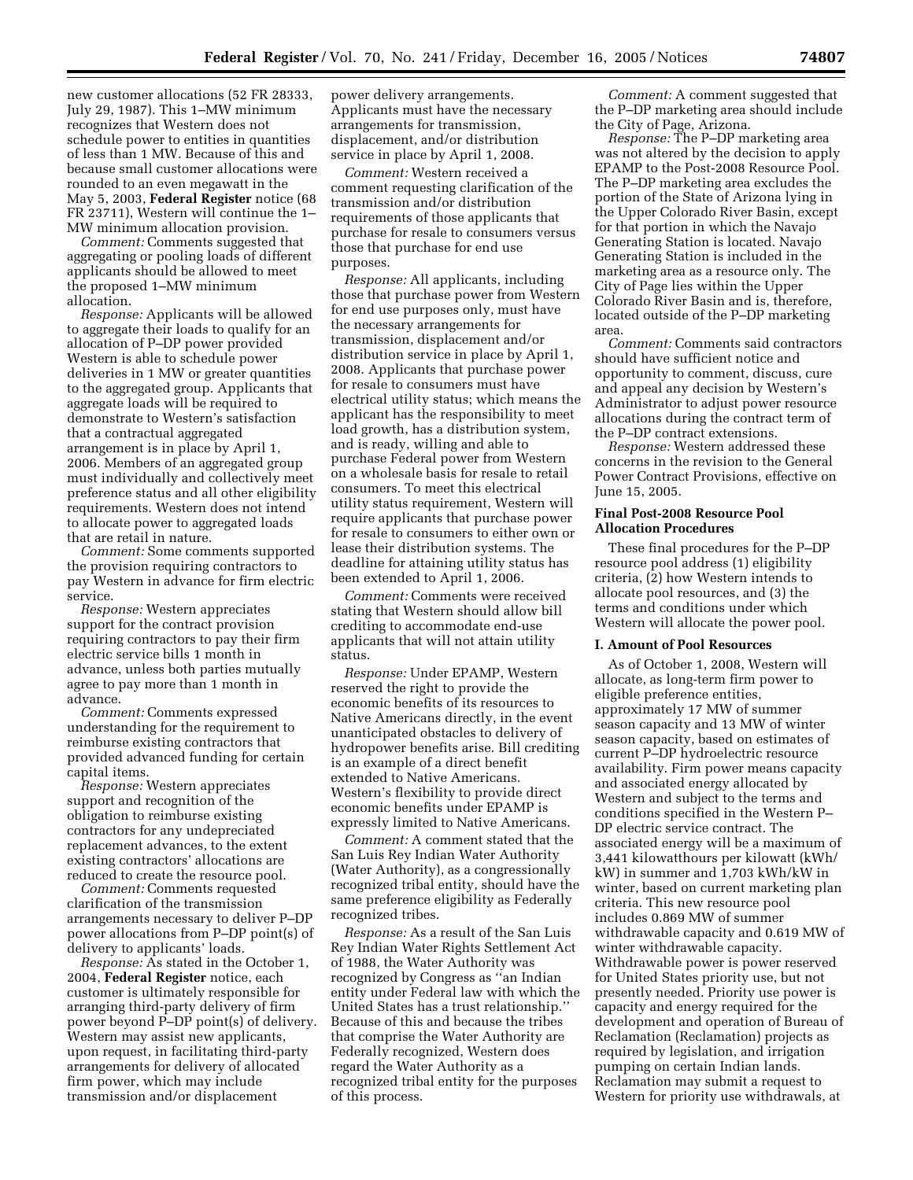new customer allocations (52 FR 28333, July 29, 1987). This 1–MW minimum recognizes that Western does not schedule power to entities in quantities of less than 1 MW. Because of this and because small customer allocations were rounded to an even megawatt in the May 5, 2003, **Federal Register** notice (68 FR 23711), Western will continue the 1– MW minimum allocation provision.

*Comment:* Comments suggested that aggregating or pooling loads of different applicants should be allowed to meet the proposed 1–MW minimum allocation.

*Response:* Applicants will be allowed to aggregate their loads to qualify for an allocation of P–DP power provided Western is able to schedule power deliveries in 1 MW or greater quantities to the aggregated group. Applicants that aggregate loads will be required to demonstrate to Western's satisfaction that a contractual aggregated arrangement is in place by April 1, 2006. Members of an aggregated group must individually and collectively meet preference status and all other eligibility requirements. Western does not intend to allocate power to aggregated loads that are retail in nature.

*Comment:* Some comments supported the provision requiring contractors to pay Western in advance for firm electric service.

*Response:* Western appreciates support for the contract provision requiring contractors to pay their firm electric service bills 1 month in advance, unless both parties mutually agree to pay more than 1 month in advance.

*Comment:* Comments expressed understanding for the requirement to reimburse existing contractors that provided advanced funding for certain capital items.

*Response:* Western appreciates support and recognition of the obligation to reimburse existing contractors for any undepreciated replacement advances, to the extent existing contractors' allocations are reduced to create the resource pool.

*Comment:* Comments requested clarification of the transmission arrangements necessary to deliver P–DP power allocations from P–DP point(s) of delivery to applicants' loads.

*Response:* As stated in the October 1, 2004, **Federal Register** notice, each customer is ultimately responsible for arranging third-party delivery of firm power beyond P–DP point(s) of delivery. Western may assist new applicants, upon request, in facilitating third-party arrangements for delivery of allocated firm power, which may include transmission and/or displacement

power delivery arrangements. Applicants must have the necessary arrangements for transmission, displacement, and/or distribution service in place by April 1, 2008.

*Comment:* Western received a comment requesting clarification of the transmission and/or distribution requirements of those applicants that purchase for resale to consumers versus those that purchase for end use purposes.

*Response:* All applicants, including those that purchase power from Western for end use purposes only, must have the necessary arrangements for transmission, displacement and/or distribution service in place by April 1, 2008. Applicants that purchase power for resale to consumers must have electrical utility status; which means the applicant has the responsibility to meet load growth, has a distribution system, and is ready, willing and able to purchase Federal power from Western on a wholesale basis for resale to retail consumers. To meet this electrical utility status requirement, Western will require applicants that purchase power for resale to consumers to either own or lease their distribution systems. The deadline for attaining utility status has been extended to April 1, 2006.

*Comment:* Comments were received stating that Western should allow bill crediting to accommodate end-use applicants that will not attain utility status.

*Response:* Under EPAMP, Western reserved the right to provide the economic benefits of its resources to Native Americans directly, in the event unanticipated obstacles to delivery of hydropower benefits arise. Bill crediting is an example of a direct benefit extended to Native Americans. Western's flexibility to provide direct economic benefits under EPAMP is expressly limited to Native Americans.

*Comment:* A comment stated that the San Luis Rey Indian Water Authority (Water Authority), as a congressionally recognized tribal entity, should have the same preference eligibility as Federally recognized tribes.

*Response:* As a result of the San Luis Rey Indian Water Rights Settlement Act of 1988, the Water Authority was recognized by Congress as ''an Indian entity under Federal law with which the United States has a trust relationship.'' Because of this and because the tribes that comprise the Water Authority are Federally recognized, Western does regard the Water Authority as a recognized tribal entity for the purposes of this process.

*Comment:* A comment suggested that the P–DP marketing area should include the City of Page, Arizona.

*Response:* The P–DP marketing area was not altered by the decision to apply EPAMP to the Post-2008 Resource Pool. The P–DP marketing area excludes the portion of the State of Arizona lying in the Upper Colorado River Basin, except for that portion in which the Navajo Generating Station is located. Navajo Generating Station is included in the marketing area as a resource only. The City of Page lies within the Upper Colorado River Basin and is, therefore, located outside of the P–DP marketing area.

*Comment:* Comments said contractors should have sufficient notice and opportunity to comment, discuss, cure and appeal any decision by Western's Administrator to adjust power resource allocations during the contract term of the P–DP contract extensions.

*Response:* Western addressed these concerns in the revision to the General Power Contract Provisions, effective on June 15, 2005.

### **Final Post-2008 Resource Pool Allocation Procedures**

These final procedures for the P–DP resource pool address (1) eligibility criteria, (2) how Western intends to allocate pool resources, and (3) the terms and conditions under which Western will allocate the power pool.

### **I. Amount of Pool Resources**

As of October 1, 2008, Western will allocate, as long-term firm power to eligible preference entities, approximately 17 MW of summer season capacity and 13 MW of winter season capacity, based on estimates of current P–DP hydroelectric resource availability. Firm power means capacity and associated energy allocated by Western and subject to the terms and conditions specified in the Western P– DP electric service contract. The associated energy will be a maximum of 3,441 kilowatthours per kilowatt (kWh/ kW) in summer and 1,703 kWh/kW in winter, based on current marketing plan criteria. This new resource pool includes 0.869 MW of summer withdrawable capacity and 0.619 MW of winter withdrawable capacity. Withdrawable power is power reserved for United States priority use, but not presently needed. Priority use power is capacity and energy required for the development and operation of Bureau of Reclamation (Reclamation) projects as required by legislation, and irrigation pumping on certain Indian lands. Reclamation may submit a request to Western for priority use withdrawals, at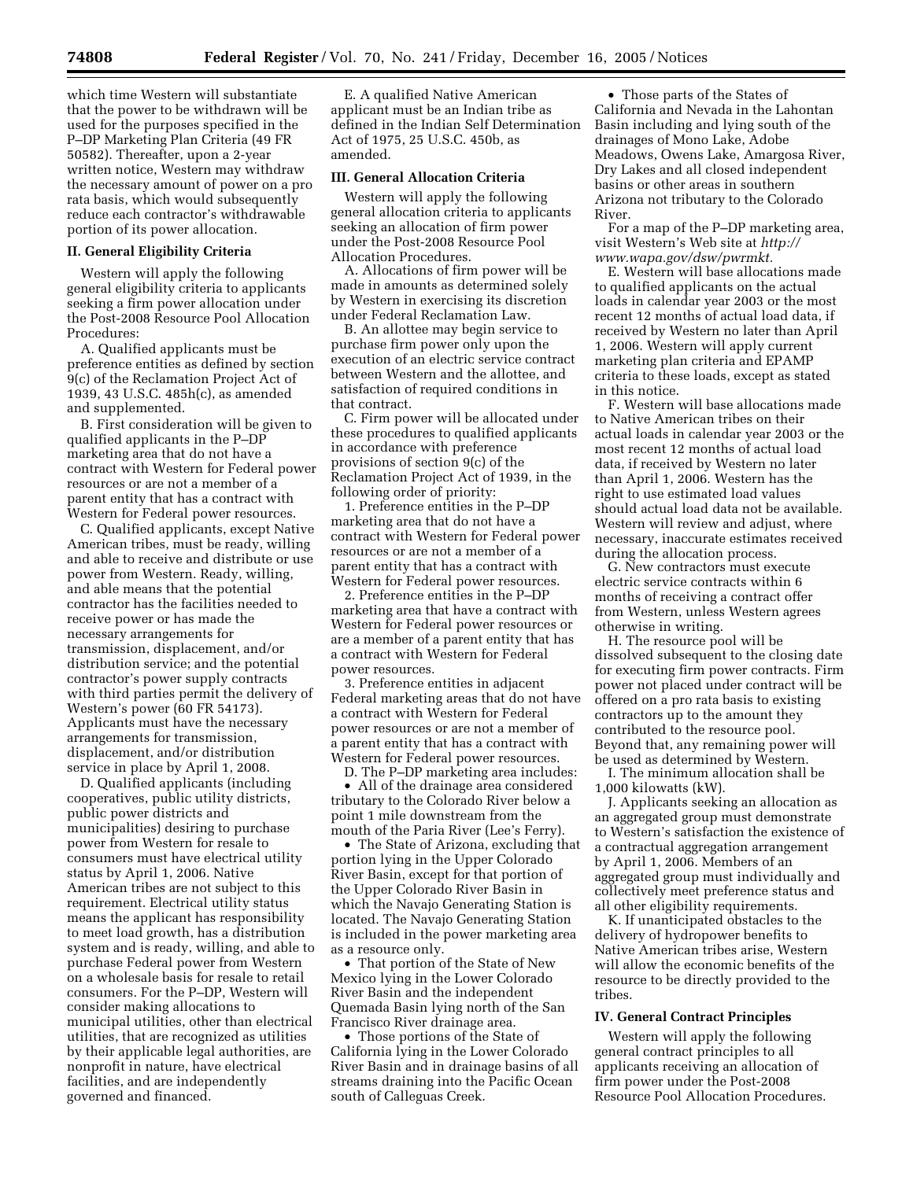which time Western will substantiate that the power to be withdrawn will be used for the purposes specified in the P–DP Marketing Plan Criteria (49 FR 50582). Thereafter, upon a 2-year written notice, Western may withdraw the necessary amount of power on a pro rata basis, which would subsequently reduce each contractor's withdrawable portion of its power allocation.

# **II. General Eligibility Criteria**

Western will apply the following general eligibility criteria to applicants seeking a firm power allocation under the Post-2008 Resource Pool Allocation Procedures:

A. Qualified applicants must be preference entities as defined by section 9(c) of the Reclamation Project Act of 1939, 43 U.S.C. 485h(c), as amended and supplemented.

B. First consideration will be given to qualified applicants in the P–DP marketing area that do not have a contract with Western for Federal power resources or are not a member of a parent entity that has a contract with Western for Federal power resources.

C. Qualified applicants, except Native American tribes, must be ready, willing and able to receive and distribute or use power from Western. Ready, willing, and able means that the potential contractor has the facilities needed to receive power or has made the necessary arrangements for transmission, displacement, and/or distribution service; and the potential contractor's power supply contracts with third parties permit the delivery of Western's power (60 FR 54173). Applicants must have the necessary arrangements for transmission, displacement, and/or distribution service in place by April 1, 2008.

D. Qualified applicants (including cooperatives, public utility districts, public power districts and municipalities) desiring to purchase power from Western for resale to consumers must have electrical utility status by April 1, 2006. Native American tribes are not subject to this requirement. Electrical utility status means the applicant has responsibility to meet load growth, has a distribution system and is ready, willing, and able to purchase Federal power from Western on a wholesale basis for resale to retail consumers. For the P–DP, Western will consider making allocations to municipal utilities, other than electrical utilities, that are recognized as utilities by their applicable legal authorities, are nonprofit in nature, have electrical facilities, and are independently governed and financed.

E. A qualified Native American applicant must be an Indian tribe as defined in the Indian Self Determination Act of 1975, 25 U.S.C. 450b, as amended.

### **III. General Allocation Criteria**

Western will apply the following general allocation criteria to applicants seeking an allocation of firm power under the Post-2008 Resource Pool Allocation Procedures.

A. Allocations of firm power will be made in amounts as determined solely by Western in exercising its discretion under Federal Reclamation Law.

B. An allottee may begin service to purchase firm power only upon the execution of an electric service contract between Western and the allottee, and satisfaction of required conditions in that contract.

C. Firm power will be allocated under these procedures to qualified applicants in accordance with preference provisions of section 9(c) of the Reclamation Project Act of 1939, in the following order of priority:

1. Preference entities in the P–DP marketing area that do not have a contract with Western for Federal power resources or are not a member of a parent entity that has a contract with Western for Federal power resources.

2. Preference entities in the P–DP marketing area that have a contract with Western for Federal power resources or are a member of a parent entity that has a contract with Western for Federal power resources.

3. Preference entities in adjacent Federal marketing areas that do not have a contract with Western for Federal power resources or are not a member of a parent entity that has a contract with Western for Federal power resources.

D. The P–DP marketing area includes:

• All of the drainage area considered tributary to the Colorado River below a point 1 mile downstream from the mouth of the Paria River (Lee's Ferry).

• The State of Arizona, excluding that portion lying in the Upper Colorado River Basin, except for that portion of the Upper Colorado River Basin in which the Navajo Generating Station is located. The Navajo Generating Station is included in the power marketing area as a resource only.

• That portion of the State of New Mexico lying in the Lower Colorado River Basin and the independent Quemada Basin lying north of the San Francisco River drainage area.

• Those portions of the State of California lying in the Lower Colorado River Basin and in drainage basins of all streams draining into the Pacific Ocean south of Calleguas Creek.

• Those parts of the States of California and Nevada in the Lahontan Basin including and lying south of the drainages of Mono Lake, Adobe Meadows, Owens Lake, Amargosa River, Dry Lakes and all closed independent basins or other areas in southern Arizona not tributary to the Colorado River.

For a map of the P–DP marketing area, visit Western's Web site at *http:// www.wapa.gov/dsw/pwrmkt.* 

E. Western will base allocations made to qualified applicants on the actual loads in calendar year 2003 or the most recent 12 months of actual load data, if received by Western no later than April 1, 2006. Western will apply current marketing plan criteria and EPAMP criteria to these loads, except as stated in this notice.

F. Western will base allocations made to Native American tribes on their actual loads in calendar year 2003 or the most recent 12 months of actual load data, if received by Western no later than April 1, 2006. Western has the right to use estimated load values should actual load data not be available. Western will review and adjust, where necessary, inaccurate estimates received during the allocation process.

G. New contractors must execute electric service contracts within 6 months of receiving a contract offer from Western, unless Western agrees otherwise in writing.

H. The resource pool will be dissolved subsequent to the closing date for executing firm power contracts. Firm power not placed under contract will be offered on a pro rata basis to existing contractors up to the amount they contributed to the resource pool. Beyond that, any remaining power will be used as determined by Western.

I. The minimum allocation shall be 1,000 kilowatts (kW).

J. Applicants seeking an allocation as an aggregated group must demonstrate to Western's satisfaction the existence of a contractual aggregation arrangement by April 1, 2006. Members of an aggregated group must individually and collectively meet preference status and all other eligibility requirements.

K. If unanticipated obstacles to the delivery of hydropower benefits to Native American tribes arise, Western will allow the economic benefits of the resource to be directly provided to the tribes.

#### **IV. General Contract Principles**

Western will apply the following general contract principles to all applicants receiving an allocation of firm power under the Post-2008 Resource Pool Allocation Procedures.